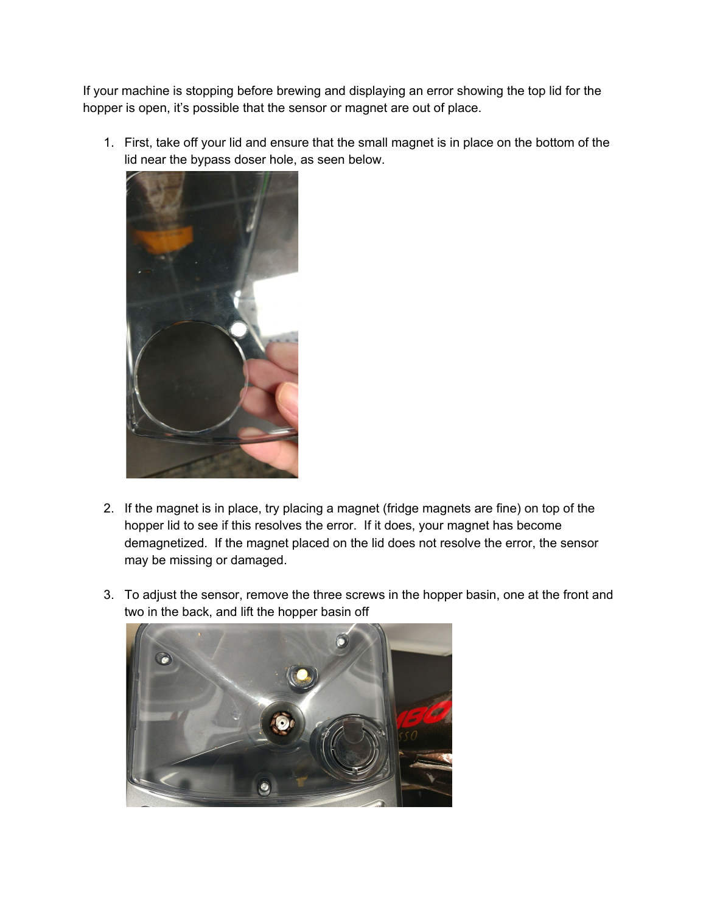If your machine is stopping before brewing and displaying an error showing the top lid for the hopper is open, it's possible that the sensor or magnet are out of place.

1. First, take off your lid and ensure that the small magnet is in place on the bottom of the lid near the bypass doser hole, as seen below.



- 2. If the magnet is in place, try placing a magnet (fridge magnets are fine) on top of the hopper lid to see if this resolves the error. If it does, your magnet has become demagnetized. If the magnet placed on the lid does not resolve the error, the sensor may be missing or damaged.
- 3. To adjust the sensor, remove the three screws in the hopper basin, one at the front and two in the back, and lift the hopper basin off